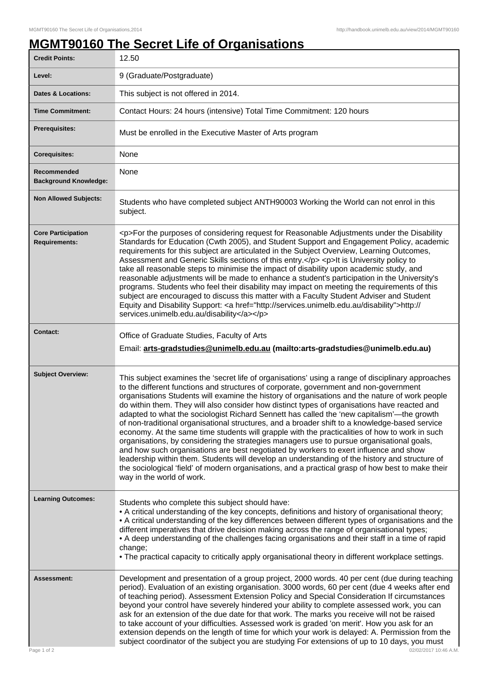## **MGMT90160 The Secret Life of Organisations**

| <b>Credit Points:</b>                             | 12.50                                                                                                                                                                                                                                                                                                                                                                                                                                                                                                                                                                                                                                                                                                                                                                                                                                                                                                                                                                                                                                                                                                                    |
|---------------------------------------------------|--------------------------------------------------------------------------------------------------------------------------------------------------------------------------------------------------------------------------------------------------------------------------------------------------------------------------------------------------------------------------------------------------------------------------------------------------------------------------------------------------------------------------------------------------------------------------------------------------------------------------------------------------------------------------------------------------------------------------------------------------------------------------------------------------------------------------------------------------------------------------------------------------------------------------------------------------------------------------------------------------------------------------------------------------------------------------------------------------------------------------|
| Level:                                            | 9 (Graduate/Postgraduate)                                                                                                                                                                                                                                                                                                                                                                                                                                                                                                                                                                                                                                                                                                                                                                                                                                                                                                                                                                                                                                                                                                |
| <b>Dates &amp; Locations:</b>                     | This subject is not offered in 2014.                                                                                                                                                                                                                                                                                                                                                                                                                                                                                                                                                                                                                                                                                                                                                                                                                                                                                                                                                                                                                                                                                     |
| <b>Time Commitment:</b>                           | Contact Hours: 24 hours (intensive) Total Time Commitment: 120 hours                                                                                                                                                                                                                                                                                                                                                                                                                                                                                                                                                                                                                                                                                                                                                                                                                                                                                                                                                                                                                                                     |
| <b>Prerequisites:</b>                             | Must be enrolled in the Executive Master of Arts program                                                                                                                                                                                                                                                                                                                                                                                                                                                                                                                                                                                                                                                                                                                                                                                                                                                                                                                                                                                                                                                                 |
| <b>Corequisites:</b>                              | None                                                                                                                                                                                                                                                                                                                                                                                                                                                                                                                                                                                                                                                                                                                                                                                                                                                                                                                                                                                                                                                                                                                     |
| Recommended<br><b>Background Knowledge:</b>       | None                                                                                                                                                                                                                                                                                                                                                                                                                                                                                                                                                                                                                                                                                                                                                                                                                                                                                                                                                                                                                                                                                                                     |
| <b>Non Allowed Subjects:</b>                      | Students who have completed subject ANTH90003 Working the World can not enrol in this<br>subject.                                                                                                                                                                                                                                                                                                                                                                                                                                                                                                                                                                                                                                                                                                                                                                                                                                                                                                                                                                                                                        |
| <b>Core Participation</b><br><b>Requirements:</b> | <p>For the purposes of considering request for Reasonable Adjustments under the Disability<br/>Standards for Education (Cwth 2005), and Student Support and Engagement Policy, academic<br/>requirements for this subject are articulated in the Subject Overview, Learning Outcomes,<br/>Assessment and Generic Skills sections of this entry.</p> <p>lt is University policy to<br/>take all reasonable steps to minimise the impact of disability upon academic study, and<br/>reasonable adjustments will be made to enhance a student's participation in the University's<br/>programs. Students who feel their disability may impact on meeting the requirements of this<br/>subject are encouraged to discuss this matter with a Faculty Student Adviser and Student<br/>Equity and Disability Support: &lt; a href="http://services.unimelb.edu.au/disability"&gt;http://<br/>services.unimelb.edu.au/disability</p>                                                                                                                                                                                             |
| <b>Contact:</b>                                   | Office of Graduate Studies, Faculty of Arts<br>Email: arts-gradstudies@unimelb.edu.au (mailto: arts-gradstudies@unimelb.edu.au)                                                                                                                                                                                                                                                                                                                                                                                                                                                                                                                                                                                                                                                                                                                                                                                                                                                                                                                                                                                          |
| <b>Subject Overview:</b>                          | This subject examines the 'secret life of organisations' using a range of disciplinary approaches<br>to the different functions and structures of corporate, government and non-government<br>organisations Students will examine the history of organisations and the nature of work people<br>do within them. They will also consider how distinct types of organisations have reacted and<br>adapted to what the sociologist Richard Sennett has called the 'new capitalism'—the growth<br>of non-traditional organisational structures, and a broader shift to a knowledge-based service<br>economy. At the same time students will grapple with the practicalities of how to work in such<br>organisations, by considering the strategies managers use to pursue organisational goals,<br>and how such organisations are best negotiated by workers to exert influence and show<br>leadership within them. Students will develop an understanding of the history and structure of<br>the sociological 'field' of modern organisations, and a practical grasp of how best to make their<br>way in the world of work. |
| <b>Learning Outcomes:</b>                         | Students who complete this subject should have:<br>• A critical understanding of the key concepts, definitions and history of organisational theory;<br>• A critical understanding of the key differences between different types of organisations and the<br>different imperatives that drive decision making across the range of organisational types;<br>• A deep understanding of the challenges facing organisations and their staff in a time of rapid<br>change;<br>• The practical capacity to critically apply organisational theory in different workplace settings.                                                                                                                                                                                                                                                                                                                                                                                                                                                                                                                                           |
| Assessment:<br>Page 1 of 2                        | Development and presentation of a group project, 2000 words. 40 per cent (due during teaching<br>period). Evaluation of an existing organisation. 3000 words, 60 per cent (due 4 weeks after end<br>of teaching period). Assessment Extension Policy and Special Consideration If circumstances<br>beyond your control have severely hindered your ability to complete assessed work, you can<br>ask for an extension of the due date for that work. The marks you receive will not be raised<br>to take account of your difficulties. Assessed work is graded 'on merit'. How you ask for an<br>extension depends on the length of time for which your work is delayed: A. Permission from the<br>subject coordinator of the subject you are studying For extensions of up to 10 days, you must<br>02/02/2017 10:46 A.M.                                                                                                                                                                                                                                                                                                |